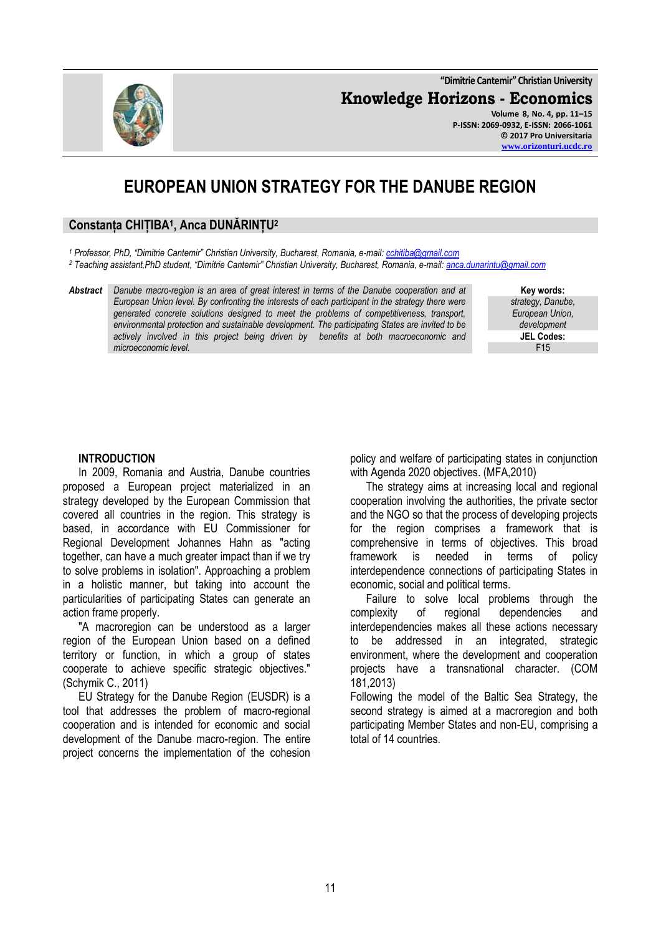**"Dimitrie Cantemir" Christian University**

**Knowledge Horizons - Economics**

**Volume 8, No. 4, pp. 11–15 P-ISSN: 2069-0932, E-ISSN: 2066-1061 © 2017 Pro Universitaria [www.orizonturi.ucdc.ro](http://www.orizonturi.ucdc.ro/)**

# **EUROPEAN UNION STRATEGY FOR THE DANUBE REGION**

# **Constanța CHIȚIBA<sup>1</sup> , Anca DUNĂRINȚU<sup>2</sup>**

*<sup>1</sup> Professor, PhD, "Dimitrie Cantemir" Christian University, Bucharest, Romania, e-mail: [cchitiba@gmail.com](mailto:cchitiba@gmail.com)*

*<sup>2</sup> Teaching assistant,PhD student, "Dimitrie Cantemir" Christian University, Bucharest, Romania, e-mail: [anca.dunarintu@gmail.com](mailto:anca.dunarintu@gmail.com)*

*Abstract Danube macro-region is an area of great interest in terms of the Danube cooperation and at European Union level. By confronting the interests of each participant in the strategy there were generated concrete solutions designed to meet the problems of competitiveness, transport, environmental protection and sustainable development. The participating States are invited to be actively involved in this project being driven by benefits at both macroeconomic and microeconomic level.*

**Key words:** *strategy, Danube, European Union, development* **JEL Codes:** F15

## **INTRODUCTION**

In 2009, Romania and Austria, Danube countries proposed a European project materialized in an strategy developed by the European Commission that covered all countries in the region. This strategy is based, in accordance with EU Commissioner for Regional Development Johannes Hahn as "acting together, can have a much greater impact than if we try to solve problems in isolation". Approaching a problem in a holistic manner, but taking into account the particularities of participating States can generate an action frame properly.

"A macroregion can be understood as a larger region of the European Union based on a defined territory or function, in which a group of states cooperate to achieve specific strategic objectives." (Schymik C., 2011)

EU Strategy for the Danube Region (EUSDR) is a tool that addresses the problem of macro-regional cooperation and is intended for economic and social development of the Danube macro-region. The entire project concerns the implementation of the cohesion

policy and welfare of participating states in conjunction with Agenda 2020 objectives. (MFA,2010)

The strategy aims at increasing local and regional cooperation involving the authorities, the private sector and the NGO so that the process of developing projects for the region comprises a framework that is comprehensive in terms of objectives. This broad framework is needed in terms of policy interdependence connections of participating States in economic, social and political terms.

Failure to solve local problems through the complexity of regional dependencies and interdependencies makes all these actions necessary to be addressed in an integrated, strategic environment, where the development and cooperation projects have a transnational character. (COM 181,2013)

Following the model of the Baltic Sea Strategy, the second strategy is aimed at a macroregion and both participating Member States and non-EU, comprising a total of 14 countries.

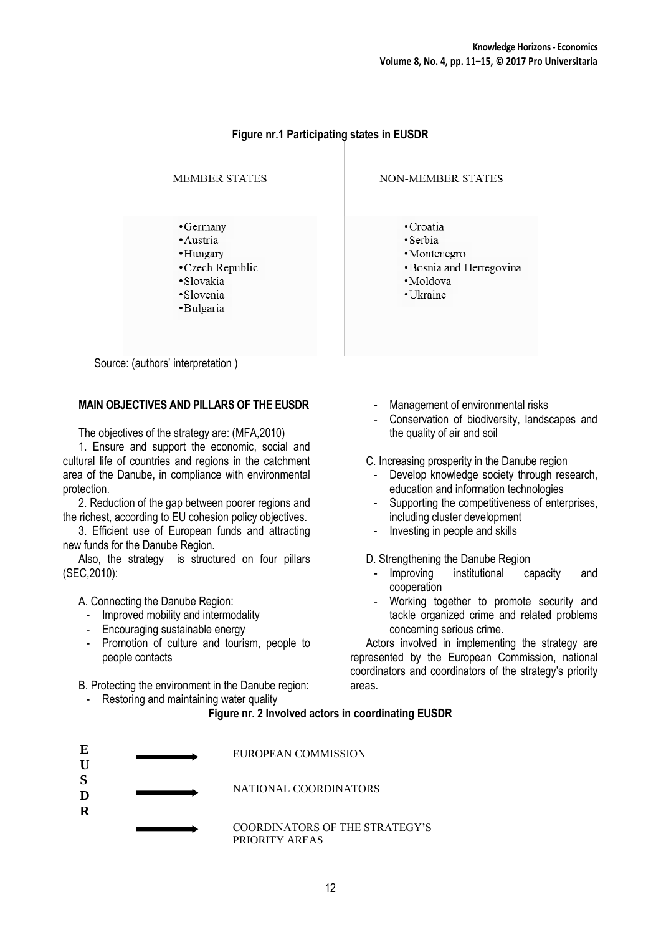## **Figure nr.1 Participating states in EUSDR**

#### MEMBER STATES

- Germany
- · Austria
- ·Hungary
- •Czech Republic
- ·Slovakia
- · Slovenia
- ·Bulgaria

#### Source: (authors' interpretation )

#### **MAIN OBJECTIVES AND PILLARS OF THE EUSDR**

The objectives of the strategy are: (MFA,2010)

1. Ensure and support the economic, social and cultural life of countries and regions in the catchment area of the Danube, in compliance with environmental protection.

2. Reduction of the gap between poorer regions and the richest, according to EU cohesion policy objectives.

3. Efficient use of European funds and attracting new funds for the Danube Region.

Also, the strategy is structured on four pillars (SEC,2010):

A. Connecting the Danube Region:

- Improved mobility and intermodality
- Encouraging sustainable energy
- Promotion of culture and tourism, people to people contacts

B. Protecting the environment in the Danube region:

Restoring and maintaining water quality

#### NON-MEMBER STATES

- · Croatia
- Serbia
- Montenegro
- · Bosnia and Hertegovina
- ·Moldova
- · Ukraine

- Management of environmental risks
- Conservation of biodiversity, landscapes and the quality of air and soil

C. Increasing prosperity in the Danube region

- Develop knowledge society through research, education and information technologies
- Supporting the competitiveness of enterprises, including cluster development
- Investing in people and skills

D. Strengthening the Danube Region

- Improving institutional capacity and cooperation
- Working together to promote security and tackle organized crime and related problems concerning serious crime.

Actors involved in implementing the strategy are represented by the European Commission, national coordinators and coordinators of the strategy's priority areas.

# **Figure nr. 2 Involved actors in coordinating EUSDR**

**E U S D R** EUROPEAN COMMISSION NATIONAL COORDINATORS COORDINATORS OF THE STRATEGY'S PRIORITY AREAS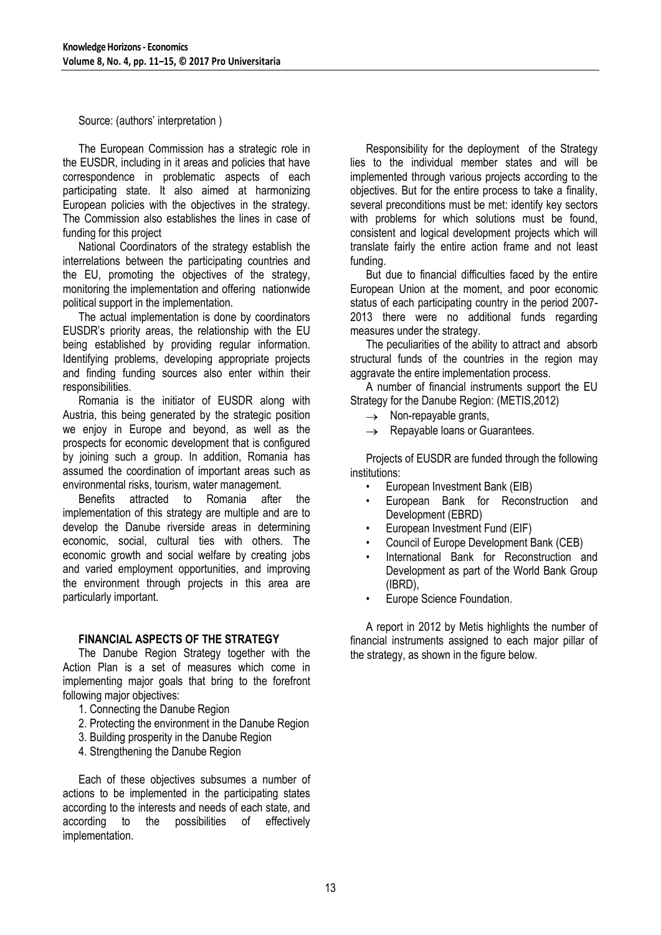Source: (authors' interpretation )

The European Commission has a strategic role in the EUSDR, including in it areas and policies that have correspondence in problematic aspects of each participating state. It also aimed at harmonizing European policies with the objectives in the strategy. The Commission also establishes the lines in case of funding for this project

National Coordinators of the strategy establish the interrelations between the participating countries and the EU, promoting the objectives of the strategy, monitoring the implementation and offering nationwide political support in the implementation.

The actual implementation is done by coordinators EUSDR's priority areas, the relationship with the EU being established by providing regular information. Identifying problems, developing appropriate projects and finding funding sources also enter within their responsibilities.

Romania is the initiator of EUSDR along with Austria, this being generated by the strategic position we enjoy in Europe and beyond, as well as the prospects for economic development that is configured by joining such a group. In addition, Romania has assumed the coordination of important areas such as environmental risks, tourism, water management.

Benefits attracted to Romania after the implementation of this strategy are multiple and are to develop the Danube riverside areas in determining economic, social, cultural ties with others. The economic growth and social welfare by creating jobs and varied employment opportunities, and improving the environment through projects in this area are particularly important.

#### **FINANCIAL ASPECTS OF THE STRATEGY**

The Danube Region Strategy together with the Action Plan is a set of measures which come in implementing major goals that bring to the forefront following major objectives:

- 1. Connecting the Danube Region
- 2. Protecting the environment in the Danube Region
- 3. Building prosperity in the Danube Region
- 4. Strengthening the Danube Region

Each of these objectives subsumes a number of actions to be implemented in the participating states according to the interests and needs of each state, and according to the possibilities of effectively implementation.

Responsibility for the deployment of the Strategy lies to the individual member states and will be implemented through various projects according to the objectives. But for the entire process to take a finality, several preconditions must be met: identify key sectors with problems for which solutions must be found. consistent and logical development projects which will translate fairly the entire action frame and not least funding.

But due to financial difficulties faced by the entire European Union at the moment, and poor economic status of each participating country in the period 2007- 2013 there were no additional funds regarding measures under the strategy.

The peculiarities of the ability to attract and absorb structural funds of the countries in the region may aggravate the entire implementation process.

A number of financial instruments support the EU Strategy for the Danube Region: (METIS,2012)

- $\rightarrow$  Non-repayable grants,
- $\rightarrow$  Repayable loans or Guarantees.

Projects of EUSDR are funded through the following institutions:

- European Investment Bank (EIB)
- European Bank for Reconstruction and Development (EBRD)
- European Investment Fund (EIF)
- Council of Europe Development Bank (CEB)
- International Bank for Reconstruction and Development as part of the World Bank Group (IBRD),
- Europe Science Foundation.

A report in 2012 by Metis highlights the number of financial instruments assigned to each major pillar of the strategy, as shown in the figure below.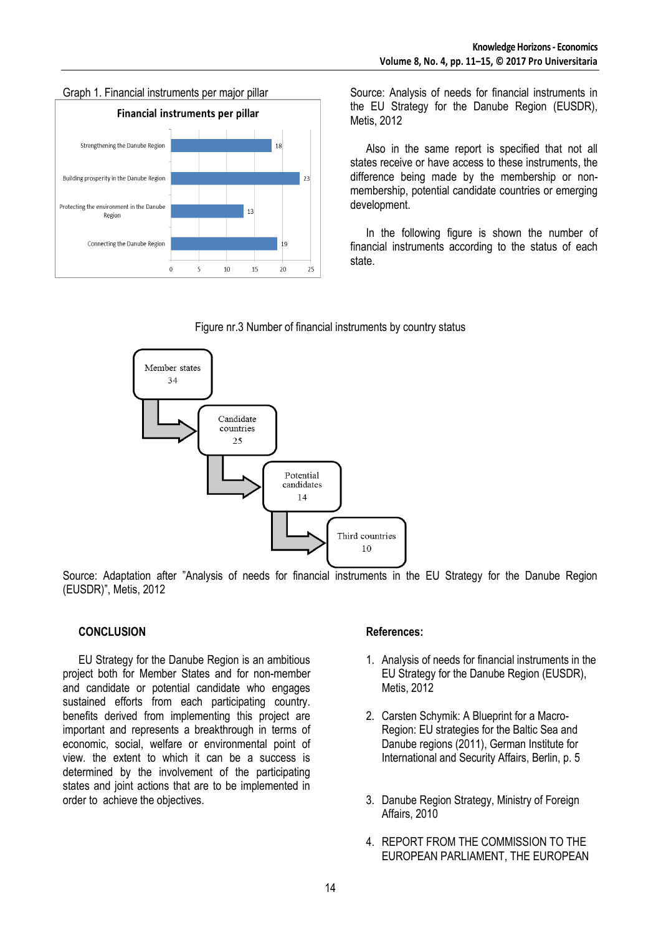

the EU Strategy for the Danube Region (EUSDR), Metis, 2012

Also in the same report is specified that not all states receive or have access to these instruments, the difference being made by the membership or nonmembership, potential candidate countries or emerging development.

In the following figure is shown the number of financial instruments according to the status of each state.



Figure nr.3 Number of financial instruments by country status

Source: Adaptation after "Analysis of needs for financial instruments in the EU Strategy for the Danube Region (EUSDR)", Metis, 2012

# **CONCLUSION**

EU Strategy for the Danube Region is an ambitious project both for Member States and for non-member and candidate or potential candidate who engages sustained efforts from each participating country. benefits derived from implementing this project are important and represents a breakthrough in terms of economic, social, welfare or environmental point of view. the extent to which it can be a success is determined by the involvement of the participating states and joint actions that are to be implemented in order to achieve the objectives.

# **References:**

- 1. Analysis of needs for financial instruments in the EU Strategy for the Danube Region (EUSDR), Metis, 2012
- 2. Carsten Schymik: A Blueprint for a Macro-Region: EU strategies for the Baltic Sea and Danube regions (2011), German Institute for International and Security Affairs, Berlin, p. 5
- 3. Danube Region Strategy, Ministry of Foreign Affairs, 2010
- 4. REPORT FROM THE COMMISSION TO THE EUROPEAN PARLIAMENT, THE EUROPEAN